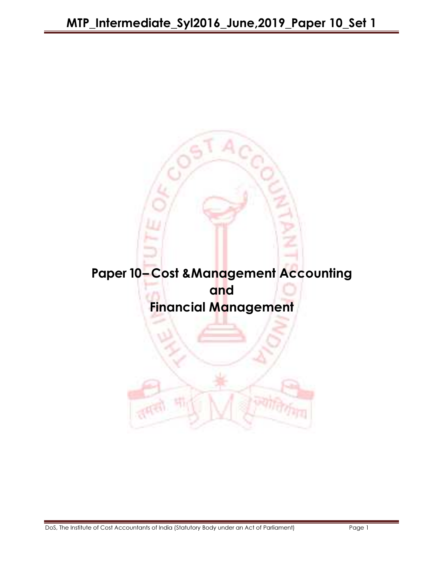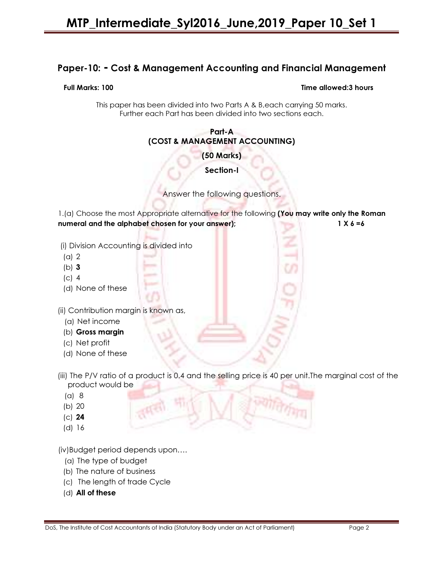# Paper-10: - Cost & Management Accounting and Financial Management

#### Full Marks: 100 Time allowed:3 hours

This paper has been divided into two Parts A & B,each carrying 50 marks. Further each Part has been divided into two sections each.

#### Part-A (COST & MANAGEMENT ACCOUNTING)

(50 Marks)

Section-I

Answer the following questions.

1.(a) Choose the most Appropriate alternative for the following (You may write only the Roman numeral and the alphabet chosen for your answer); 1 X 6 =6

(i) Division Accounting is divided into

- (a) 2
- (b) 3
- (c) 4
- (d) None of these

(ii) Contribution margin is known as,

- (a) Net income
- (b) Gross margin
- (c) Net profit
- (d) None of these
- (iii) The P/V ratio of a product is 0.4 and the selling price is 40 per unit. The marginal cost of the product would be
	- (a) 8
	- (b) 20
	- (c) 24
	- (d) 16

(iv)Budget period depends upon….

- (a) The type of budget
- (b) The nature of business
- (c) The length of trade Cycle
- (d) All of these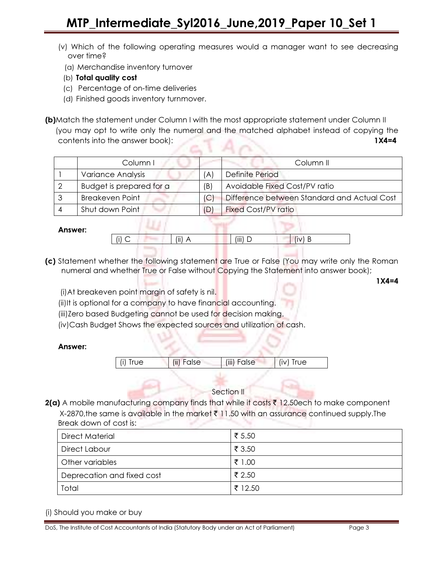- (v) Which of the following operating measures would a manager want to see decreasing over time?
	- (a) Merchandise inventory turnover
- (b) Total quality cost
- (c) Percentage of on-time deliveries
- (d) Finished goods inventory turnmover.

(b)Match the statement under Column I with the most appropriate statement under Column II (you may opt to write only the numeral and the matched alphabet instead of copying the contents into the answer book): 1X4=4

|  | Column I                 |     | Column II                                   |  |  |  |
|--|--------------------------|-----|---------------------------------------------|--|--|--|
|  | Variance Analysis        | 'A  | Definite Period                             |  |  |  |
|  | Budget is prepared for a | (B) | Avoidable Fixed Cost/PV ratio               |  |  |  |
|  | <b>Breakeven Point</b>   | IC. | Difference between Standard and Actual Cost |  |  |  |
|  | Shut down Point          |     | <b>Fixed Cost/PV ratio</b>                  |  |  |  |

#### Answer:

| $\cdots$ |  | $\cdots$<br>71<br>. | (iii)<br>一 |  |  |
|----------|--|---------------------|------------|--|--|
|          |  |                     |            |  |  |

- (c) Statement whether the following statement are True or False (You may write only the Roman numeral and whether True or False without Copying the Statement into answer book);
	- (i)At breakeven point margin of safety is nil.

12845

- (ii)It is optional for a company to have financial accounting.
- (iii)Zero based Budgeting cannot be used for decision making.
- (iv)Cash Budget Shows the expected sources and utilization of cash.

#### Answer:



#### Section II

 $2(a)$  A mobile manufacturing company finds that while it costs  $\bar{x}$  12.50ech to make component X-2870, the same is available in the market  $\bar{\tau}$  11.50 with an assurance continued supply. The Break down of cost is:

| <b>Direct Material</b>     | ₹ 5.50  |
|----------------------------|---------|
| Direct Labour              | ₹ 3.50  |
| Other variables            | ₹ 1.00  |
| Deprecation and fixed cost | ₹ 2.50  |
| Total                      | ₹ 12.50 |

(i) Should you make or buy

1X4=4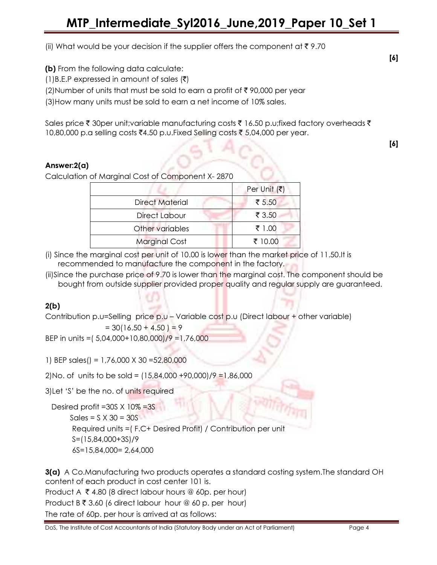(ii) What would be your decision if the supplier offers the component at  $\bar{\tau}$  9.70

(b) From the following data calculate:

 $(1)$ B.E.P expressed in amount of sales  $(\bar{\zeta})$ 

(2)Number of units that must be sold to earn a profit of  $\bar{\tau}$  90,000 per year

(3)How many units must be sold to earn a net income of 10% sales.

Sales price  $\bar{\zeta}$  30per unit;variable manufacturing costs  $\bar{\zeta}$  16.50 p.u;fixed factory overheads  $\bar{\zeta}$ 10,80,000 p.a selling costs ₹4.50 p.u.Fixed Selling costs ₹ 5,04,000 per year.

# Answer:2(a)

Calculation of Marginal Cost of Component X- 2870

|                        | Per Unit $(\bar{\bar{\mathbf{z}}})$ |
|------------------------|-------------------------------------|
| <b>Direct Material</b> | ₹ 5.50                              |
| Direct Labour          | ₹ 3.50                              |
| Other variables        | ₹ 1.00                              |
| <b>Marginal Cost</b>   | ₹ 10.00                             |

(i) Since the marginal cost per unit of 10.00 is lower than the market price of 11.50.It is recommended to manufacture the component in the factory.

(ii)Since the purchase price of 9.70 is lower than the marginal cost. The component should be bought from outside supplier provided proper quality and regular supply are guaranteed.

# 2(b)

Contribution p.u=Selling price p.u – Variable cost p.u (Direct labour + other variable)  $= 30(16.50 + 4.50) = 9$ 

BEP in units =( 5,04,000+10,80,000)/9 =1,76,000

1) BEP sales() = 1,76,000 X 30 =52,80,000

2)No. of units to be sold = (15,84,000 +90,000)/9 =1,86,000

3) Let 'S' be the no. of units required

 Desired profit =30S X 10% =3S  $Sales = S \times 30 = 30S$  Required units =( F.C+ Desired Profit) / Contribution per unit S=(15,84,000+3S)/9 6S=15,84,000= 2,64,000

**3(a)** A Co.Manufacturing two products operates a standard costing system. The standard OH content of each product in cost center 101 is. Product A  $\bar{\tau}$  4.80 (8 direct labour hours @ 60p. per hour)

Product  $B \bar{\tau}$  3.60 (6 direct labour hour @ 60 p. per hour) The rate of 60p. per hour is arrived at as follows:

[6]

[6]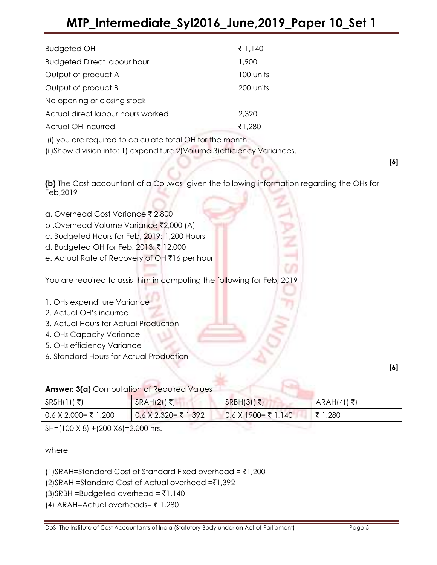| <b>Budgeted OH</b>                 | ₹ 1,140   |
|------------------------------------|-----------|
| <b>Budgeted Direct labour hour</b> | 1,900     |
| Output of product A                | 100 units |
| Output of product B                | 200 units |
| No opening or closing stock        |           |
| Actual direct labour hours worked  | 2,320     |
| Actual OH incurred                 | ₹1,280    |

(i) you are required to calculate total OH for the month.

(ii)Show division into: 1) expenditure 2)Volume 3)efficiency Variances.

[6]

(b) The Cost accountant of a Co .was given the following information regarding the OHs for Feb,2019

- a. Overhead Cost Variance ₹ 2,800
- b .Overhead Volume Variance ₹2,000 (A)
- c. Budgeted Hours for Feb, 2019: 1,200 Hours
- d. Budgeted OH for Feb, 2013: ₹ 12,000
- e. Actual Rate of Recovery of OH ₹16 per hour

You are required to assist him in computing the following for Feb, 2019

# 1. OHs expenditure Variance

- 2. Actual OH's incurred
- 3. Actual Hours for Actual Production
- 4. OHs Capacity Variance
- 5. OHs efficiency Variance
- 6. Standard Hours for Actual Production

[6]

**Answer: 3(a)** Computation of Required Values

| $SRSH(1)$ (₹)           | SRAH(2)( ₹)          | SRBH(3)( ₹)            | $ARAH(4)($ ₹) |
|-------------------------|----------------------|------------------------|---------------|
| $0.6$ X 2,000 = ₹ 1,200 | 0.6 X 2,320= ₹ 1,392 | $0.6$ X 1900 = ₹ 1,140 | ₹ 1,280       |

SH=(100 X 8) +(200 X6)=2,000 hrs.

where

(1)SRAH=Standard Cost of Standard Fixed overhead =  $\bar{z}$ 1,200

 $(2)$ SRAH =Standard Cost of Actual overhead = $\bar{z}1,392$ 

 $(3)$ SRBH =Budgeted overhead =  $\overline{5}1,140$ 

(4) ARAH=Actual overheads= $\bar{\tau}$  1,280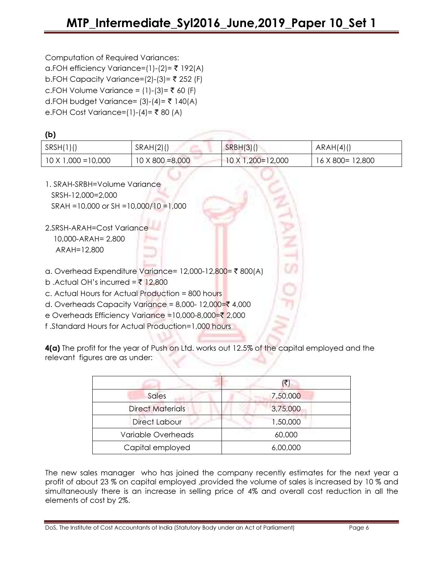| Computation of Required Variances: |  |
|------------------------------------|--|
|                                    |  |

 $(K)$ 

a.FOH efficiency Variance=(1)-(2)= ₹ 192(A) b.FOH Capacity Variance=(2)-(3)=  $\bar{z}$  252 (F)  $c.FOH$  Volume Variance = (1)-(3)= ₹ 60 (F) d.FOH budget Variance=  $(3)-(4)=7140(A)$ e.FOH Cost Variance=(1)-(4)= ₹80 (A)

| נ ט                                                                                          |                         |                   |                   |
|----------------------------------------------------------------------------------------------|-------------------------|-------------------|-------------------|
| SRSH(1)()                                                                                    | $SRAH(2)$ ()            | $SRBH(3)$ ()      | ARAH(4)()         |
| $10 \times 1,000 = 10,000$                                                                   | $10 \times 800 = 8,000$ | 10 X 1,200=12,000 | 16 X 800 = 12,800 |
| 1. SRAH-SRBH=Volume Variance<br>SRSH-12,000=2,000<br>SRAH = 10,000 or SH = 10,000/10 = 1,000 |                         |                   |                   |
| 2.SRSH-ARAH=Cost Variance<br>10,000-ARAH= 2,800<br>ARAH=12,800                               |                         |                   |                   |
| a. Overhead Expenditure Variance= 12,000-12,800= ₹ 800(A)                                    |                         | m                 |                   |
| b. Actual OH's incurred = ₹ 12,800                                                           |                         |                   |                   |
| c. Actual Hours for Actual Production = 800 hours                                            |                         |                   |                   |
| d. Overheads Capacity Variance = 8,000-12,000= $\bar{\xi}$ 4,000                             |                         |                   |                   |
| e Overheads Efficiency Variance = 10,000-8,000=₹ 2,000                                       |                         |                   |                   |
| f.Standard Hours for Actual Production=1,000 hours                                           |                         |                   |                   |

4(a) The profit for the year of Push on Ltd. works out 12.5% of the capital employed and the relevant figures are as under:

|                         | (₹)      |
|-------------------------|----------|
| Sales                   | 7,50,000 |
| <b>Direct Materials</b> | 3,75,000 |
| <b>Direct Labour</b>    | 1,50,000 |
| Variable Overheads      | 60,000   |
| Capital employed        | 6,00,000 |

The new sales manager who has joined the company recently estimates for the next year a profit of about 23 % on capital employed ,provided the volume of sales is increased by 10 % and simultaneously there is an increase in selling price of 4% and overall cost reduction in all the elements of cost by 2%.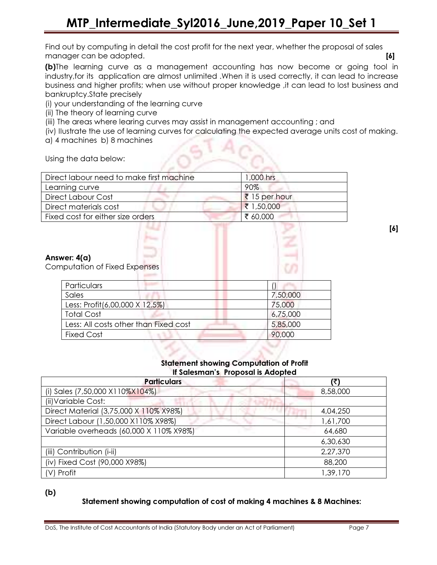Find out by computing in detail the cost profit for the next year, whether the proposal of sales manager can be adopted. **[6] If the accommodation of the contract of the contract of the contract of the contract of the contract of the contract of the contract of the contract of the contract of the contract of the con** 

(b)The learning curve as a management accounting has now become or going tool in industry,for its application are almost unlimited .When it is used correctly, it can lead to increase business and higher profits; when use without proper knowledge ,it can lead to lost business and bankruptcy.State precisely

(i) your understanding of the learning curve

(ii) The theory of learning curve

(iii) The areas where learing curves may assist in management accounting ; and

(iv) IIustrate the use of learning curves for calculating the expected average units cost of making.

a) 4 machines b) 8 machines

Using the data below:

| Direct labour need to make first machine                            | 1,000 hrs     |
|---------------------------------------------------------------------|---------------|
| Learning curve                                                      | 90%           |
| <b>Direct Labour Cost</b>                                           | ₹ 15 per hour |
| Direct materials cost                                               | ₹ 1,50,000    |
| Fixed cost for either size orders                                   | ₹ 60,000      |
| Answer: 4(a)<br><b>Computation of Fixed Expenses</b><br>Particulars |               |
| Sales                                                               | 7,50,000      |
| Less: Profit(6,00,000 X 12.5%)                                      |               |
|                                                                     | 75,000        |
| <b>Total Cost</b>                                                   | 6,75,000      |
| Less: All costs other than Fixed cost                               | 5,85,000      |
| <b>Fixed Cost</b>                                                   | 90,000        |

[6]

#### Statement showing Computation of Profit If Salesman's Proposal is Adopted

| 1.941                                   |          |  |  |  |
|-----------------------------------------|----------|--|--|--|
| <b>Particulars</b>                      | (₹)      |  |  |  |
| (i) Sales (7,50,000 X110%X104%)         | 8,58,000 |  |  |  |
| (ii) Variable Cost:                     |          |  |  |  |
| Direct Material (3,75,000 X 110% X98%)  | 4,04,250 |  |  |  |
| Direct Labour (1,50,000 X110% X98%)     | 1,61,700 |  |  |  |
| Variable overheads (60,000 X 110% X98%) | 64,680   |  |  |  |
|                                         | 6,30,630 |  |  |  |
| (iii) Contribution (i-ii)               | 2,27,370 |  |  |  |
| (iv) Fixed Cost (90,000 X98%)           | 88,200   |  |  |  |
| (V) Profit                              | 1,39,170 |  |  |  |

(b)

# Statement showing computation of cost of making 4 machines & 8 Machines: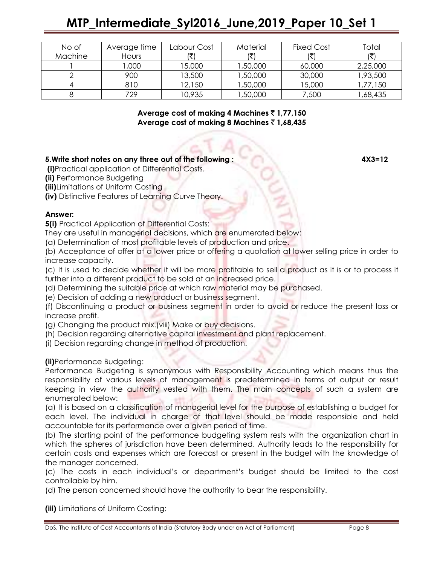# MTP\_Intermediate\_Syl2016\_June,2019\_Paper 10\_Set 1

| No of   | Average time | Labour Cost | Material | <b>Fixed Cost</b> | Total    |
|---------|--------------|-------------|----------|-------------------|----------|
| Machine | Hours        |             |          |                   |          |
|         | ,000         | 15,000      | 1,50,000 | 60,000            | 2,25,000 |
|         | 900          | 13,500      | 1,50,000 | 30,000            | 1,93,500 |
|         | 810          | 12,150      | 1,50,000 | 15,000            | ,77,150  |
|         | 729          | 10,935      | ,50,000  | 7,500             | 1,68,435 |

Average cost of making 4 Machines  $\bar{c}$  1,77,150 Average cost of making 8 Machines  $\bar{z}$  1,68,435

#### 5.Write short notes on any three out of the following : 4X3=12

(i)Practical application of Differential Costs.

(ii) Performance Budgeting

(iii)Limitations of Uniform Costing

(iv) Distinctive Features of Learning Curve Theory.

#### Answer:

**5(i)** Practical Application of Differential Costs:

They are useful in managerial decisions, which are enumerated below:

(a) Determination of most profitable levels of production and price.

(b) Acceptance of offer at a lower price or offering a quotation at lower selling price in order to increase capacity.

(c) It is used to decide whether it will be more profitable to sell a product as it is or to process it further into a different product to be sold at an increased price.

(d) Determining the suitable price at which raw material may be purchased.

(e) Decision of adding a new product or business segment.

(f) Discontinuing a product or business segment in order to avoid or reduce the present loss or increase profit.

(g) Changing the product mix.(viii) Make or buy decisions.

(h) Decision regarding alternative capital investment and plant replacement.

(i) Decision regarding change in method of production.

#### (ii)Performance Budgeting:

Performance Budgeting is synonymous with Responsibility Accounting which means thus the responsibility of various levels of management is predetermined in terms of output or result keeping in view the authority vested with them. The main concepts of such a system are enumerated below:

(a) It is based on a classification of managerial level for the purpose of establishing a budget for each level. The individual in charge of that level should be made responsible and held accountable for its performance over a given period of time.

(b) The starting point of the performance budgeting system rests with the organization chart in which the spheres of jurisdiction have been determined. Authority leads to the responsibility for certain costs and expenses which are forecast or present in the budget with the knowledge of the manager concerned.

(c) The costs in each individual's or department's budget should be limited to the cost controllable by him.

(d) The person concerned should have the authority to bear the responsibility.

(iii) Limitations of Uniform Costing: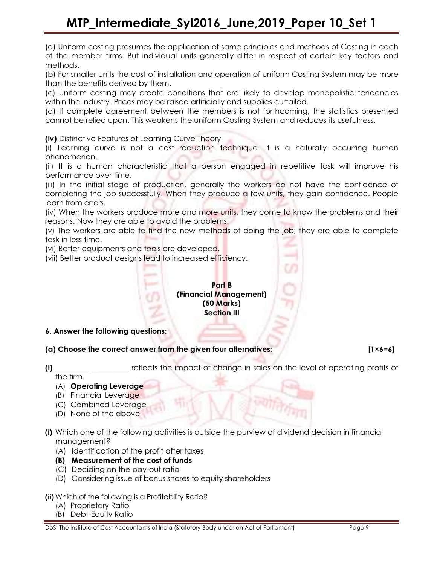# MTP\_Intermediate\_Syl2016\_June,2019\_Paper 10\_Set 1

(a) Uniform costing presumes the application of same principles and methods of Costing in each of the member firms. But individual units generally differ in respect of certain key factors and methods.

(b) For smaller units the cost of installation and operation of uniform Costing System may be more than the benefits derived by them.

(c) Uniform costing may create conditions that are likely to develop monopolistic tendencies within the industry. Prices may be raised artificially and supplies curtailed.

(d) If complete agreement between the members is not forthcoming, the statistics presented cannot be relied upon. This weakens the uniform Costing System and reduces its usefulness.

(iv) Distinctive Features of Learning Curve Theory

(i) Learning curve is not a cost reduction technique. It is a naturally occurring human phenomenon.

(ii) It is a human characteristic that a person engaged in repetitive task will improve his performance over time.

(iii) In the initial stage of production, generally the workers do not have the confidence of completing the job successfully. When they produce a few units, they gain confidence. People learn from errors.

(iv) When the workers produce more and more units, they come to know the problems and their reasons. Now they are able to avoid the problems.

(v) The workers are able to find the new methods of doing the job; they are able to complete task in less time.

(vi) Better equipments and tools are developed.

(vii) Better product designs lead to increased efficiency.

Part B (Financial Management) (50 Marks) Section III

6. Answer the following questions:

- (a) Choose the correct answer from the given four alternatives:  $[1 \times 6 = 6]$
- (i) \_\_\_\_\_\_\_\_\_ \_\_\_\_\_\_\_\_\_\_ reflects the impact of change in sales on the level of operating profits of the firm.
	- (A) Operating Leverage
	- (B) Financial Leverage
	- (C) Combined Leverage
	- (D) None of the above
- (i) Which one of the following activities is outside the purview of dividend decision in financial management?
	- (A) Identification of the profit after taxes
	- (B) Measurement of the cost of funds
	- (C) Deciding on the pay-out ratio
	- (D) Considering issue of bonus shares to equity shareholders
- (ii) Which of the following is a Profitability Ratio?
	- (A) Proprietary Ratio
	- (B) Debt-Equity Ratio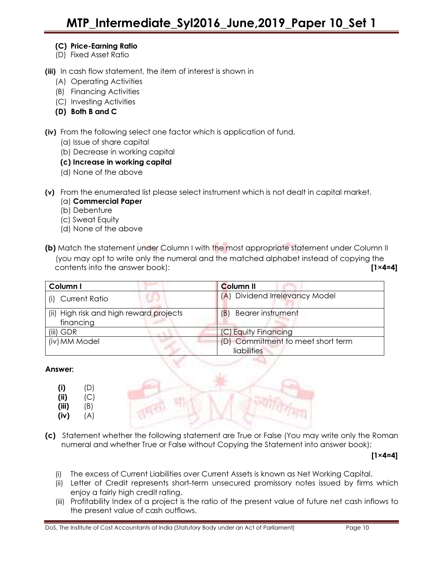# (C) Price-Earning Ratio

(D) Fixed Asset Ratio

(iii) In cash flow statement, the item of interest is shown in

- (A) Operating Activities
- (B) Financing Activities
- (C) Investing Activities
- (D) Both B and C

(iv) From the following select one factor which is application of fund.

- (a) Issue of share capital
- (b) Decrease in working capital
- (c) Increase in working capital
- (d) None of the above

(v) From the enumerated list please select instrument which is not dealt in capital market.

- (a) Commercial Paper
- (b) Debenture
- (c) Sweat Equity
- (d) None of the above

(b) Match the statement under Column I with the most appropriate statement under Column II (you may opt to write only the numeral and the matched alphabet instead of copying the contents into the answer book): [1×4=4]

| Column I                                | <b>Column II</b>                  |
|-----------------------------------------|-----------------------------------|
| (i) Current Ratio                       | (A) Dividend Irrelevancy Model    |
| (ii) High risk and high reward projects | <b>Bearer instrument</b><br>(B    |
| financing                               |                                   |
| $(iii)$ GDR                             | (C) Equity Financing              |
| (iv) MM Model                           | (D) Commitment to meet short term |
|                                         | liabilities                       |

#### Answer:

|                              | (D)<br>(C) |  |  |  |
|------------------------------|------------|--|--|--|
| (i)<br>(ii)<br>(iii)<br>(iv) | (B)<br>(A) |  |  |  |

(c) Statement whether the following statement are True or False (You may write only the Roman numeral and whether True or False without Copying the Statement into answer book);

 $[1 \times 4=4]$ 

- (i) The excess of Current Liabilities over Current Assets is known as Net Working Capital.
- (ii) Letter of Credit represents short-term unsecured promissory notes issued by firms which enjoy a fairly high credit rating.
- (iii) Profitability Index of a project is the ratio of the present value of future net cash inflows to the present value of cash outflows.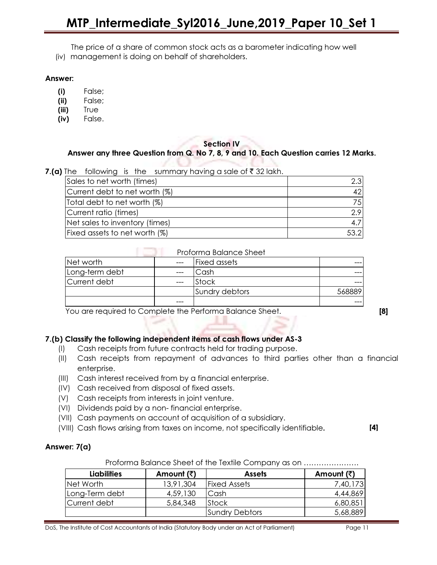# MTP\_Intermediate\_Syl2016\_June,2019\_Paper 10\_Set 1

The price of a share of common stock acts as a barometer indicating how well

(iv) management is doing on behalf of shareholders.

#### Answer:

- (i) False;
- (ii) False;
- (iii) True
- (iv) False.

#### Section IV Answer any three Question from Q. No 7, 8, 9 and 10. Each Question carries 12 Marks.

CL 20

|  |  | <b>7.(a)</b> The following is the summary having a sale of ₹32 lakh. |
|--|--|----------------------------------------------------------------------|

| Sales to net worth (times)     | 2.3 <sub>1</sub> |
|--------------------------------|------------------|
| Current debt to net worth (%)  | 421              |
| Total debt to net worth (%)    | 751              |
| Current ratio (times)          | 2.9              |
| Net sales to inventory (times) |                  |
| Fixed assets to net worth (%)  | 53.2             |

#### **Proforma Balance Sheet**

| Net worth      | $---$ | <b>Fixed assets</b> |  |
|----------------|-------|---------------------|--|
| Long-term debt | ---   | Cash                |  |
| Current debt   | $---$ | <b>Stock</b>        |  |
|                |       | Sundry debtors      |  |
|                | ---   |                     |  |

You are required to Complete the Performa Balance Sheet. **[8]** 

# 7.(b) Classify the following independent items of cash flows under AS-3

- (I) Cash receipts from future contracts held for trading purpose.
- (II) Cash receipts from repayment of advances to third parties other than a financial enterprise.
- (III) Cash interest received from by a financial enterprise.
- (IV) Cash received from disposal of fixed assets.
- (V) Cash receipts from interests in joint venture.
- (VI) Dividends paid by a non- financial enterprise.
- (VII) Cash payments on account of acquisition of a subsidiary.
- (VIII) Cash flows arising from taxes on income, not specifically identifiable.

#### [4]

#### Answer: 7(a)

| Liabilities    | Amount (₹) | <b>Assets</b>       | Amount (₹) |
|----------------|------------|---------------------|------------|
| INet Worth     | 13,91,304  | <b>Fixed Assets</b> | 7,40,173   |
| Long-Term debt | 4,59,130   | Cash                | 4,44,869   |
| lCurrent debt  | 5,84,348   | <b>Stock</b>        | 6,80,851   |
|                |            | Sundry Debtors      | 5,68,889   |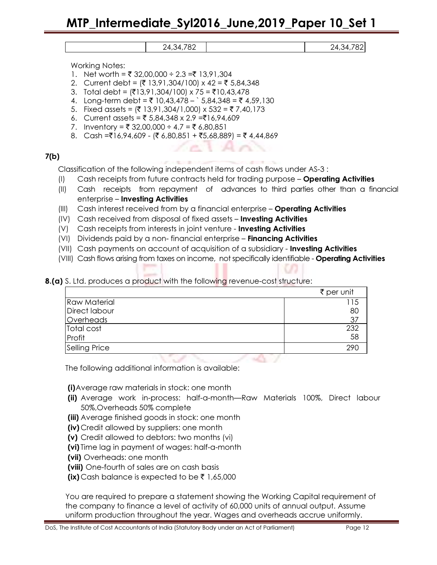Working Notes:

- 1. Net worth = ₹ 32,00,000 ÷ 2.3 =₹ 13,91,304
- 2. Current debt =  $(3, 91, 304/100) \times 42 = 5,84,348$
- 3. Total debt =  $(3.91,304/100) \times 75 = 10,43,478$
- 4. Long-term debt =  $\bar{\tau}$  10,43,478 `5,84,348 =  $\bar{\tau}$  4,59,130
- 5. Fixed assets =  $(7 13, 91, 304/1, 000) \times 532 = 77,40,173$
- 6. Current assets =  $\overline{5}$  5,84,348 x 2.9 =  $\overline{5}$ 16,94,609
- 7. Inventory =  $\overline{z}$  32,00,000 ÷ 4.7 =  $\overline{z}$  6,80,851
- 8. Cash = $\overline{516,94,609}$  ( $\overline{56,80,851}$  +  $\overline{55,68,889}$ ) =  $\overline{54,44,869}$

#### 7(b)

Classification of the following independent items of cash flows under AS-3 :

- (I) Cash receipts from future contracts held for trading purpose Operating Activities
- (II) Cash receipts from repayment of advances to third parties other than a financial enterprise – Investing Activities
- (III) Cash interest received from by a financial enterprise **Operating Activities**
- (IV) Cash received from disposal of fixed assets **Investing Activities**
- (V) Cash receipts from interests in joint venture **Investing Activities**
- (VI) Dividends paid by a non-financial enterprise Financing Activities
- (VII) Cash payments on account of acquisition of a subsidiary **Investing Activities**
- (VIII) Cash flows arising from taxes on income, not specifically identifiable Operating Activities
- 8.(a) S. Ltd. produces a product with the following revenue-cost structure:

|                      | ₹ per unit |
|----------------------|------------|
| <b>Raw Material</b>  |            |
| Direct labour        | 80         |
| Overheads            | 37         |
| Total cost           | 232        |
| Profit               | 58         |
| <b>Selling Price</b> | 29C        |

The following additional information is available:

(i)Average raw materials in stock: one month

(ii) Average work in-process: half-a-month—Raw Materials 100%, Direct labour 50%,Overheads 50% complete

-40-7

- (iii) Average finished goods in stock: one month
- (iv) Credit allowed by suppliers: one month
- (v) Credit allowed to debtors: two months (vi)
- (vi) Time lag in payment of wages: half-a-month
- (vii) Overheads: one month
- (viii) One-fourth of sales are on cash basis
- (ix) Cash balance is expected to be  $\bar{\tau}$  1,65,000

You are required to prepare a statement showing the Working Capital requirement of the company to finance a level of activity of 60,000 units of annual output. Assume uniform production throughout the year. Wages and overheads accrue uniformly.

24,34,782 24,34,782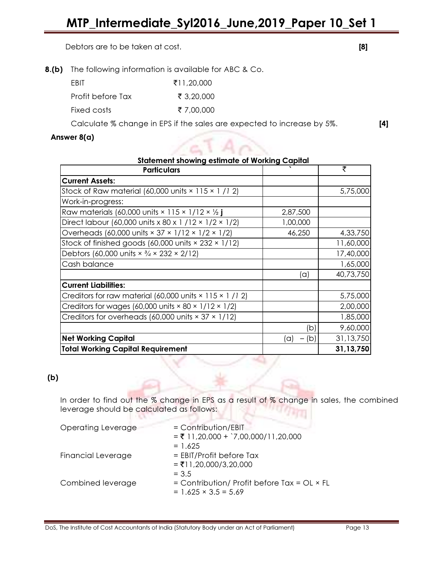Debtors are to be taken at cost. **[8]** 

8.(b) The following information is available for ABC & Co.

| <b>FRIT</b>       | ₹11.20.000 |
|-------------------|------------|
| Profit before Tax | ₹ 3,20,000 |
| Fixed costs       | ₹ 7.00.000 |

Calculate % change in EPS if the sales are expected to increase by 5%. [4]

 $/afAn$ 

### Answer 8(a)

| <b>Statement showing estimate of Working Capital</b>                         |                                 |           |  |
|------------------------------------------------------------------------------|---------------------------------|-----------|--|
| <b>Particulars</b>                                                           |                                 | ₹         |  |
| <b>Current Assets:</b>                                                       |                                 |           |  |
| Stock of Raw material (60,000 units $\times$ 115 $\times$ 1 /1 2)            |                                 | 5,75,000  |  |
| Work-in-progress:                                                            |                                 |           |  |
| Raw materials (60,000 units $\times$ 115 $\times$ 1/12 $\times$ 1/2          | 2,87,500                        |           |  |
| Direct labour (60,000 units x 80 x 1 / 12 x 1/2 x 1/2)                       | 1,00,000                        |           |  |
| Overheads (60,000 units $\times$ 37 $\times$ 1/12 $\times$ 1/2 $\times$ 1/2) | 46,250                          | 4,33,750  |  |
| Stock of finished goods (60,000 units × 232 × 1/12)                          |                                 | 11,60,000 |  |
| Debtors (60,000 units $\times$ 3/4 $\times$ 232 $\times$ 2/12)               |                                 | 17,40,000 |  |
| Cash balance                                                                 |                                 | 1,65,000  |  |
|                                                                              | (a)                             | 40,73,750 |  |
| <b>Current Liabilities:</b>                                                  |                                 |           |  |
| Creditors for raw material (60,000 units × 115 × 1 /1 2)                     |                                 | 5,75,000  |  |
| Creditors for wages (60,000 units $\times$ 80 $\times$ 1/12 $\times$ 1/2)    |                                 | 2,00,000  |  |
| Creditors for overheads (60,000 units $\times$ 37 $\times$ 1/12)             |                                 | 1,85,000  |  |
|                                                                              | (b)                             | 9,60,000  |  |
| <b>Net Working Capital</b>                                                   | (b)<br>(a)<br>$\qquad \qquad -$ | 31,13,750 |  |
| <b>Total Working Capital Requirement</b>                                     |                                 | 31,13,750 |  |

# (b)

In order to find out the % change in EPS as a result of % change in sales, the combined leverage should be calculated as follows:

| Operating Leverage | $=$ Contribution/EBIT<br>$=$ ₹ 11,20,000 + `7,00,000/11,20,000                                 |
|--------------------|------------------------------------------------------------------------------------------------|
| Financial Leverage | $= 1.625$<br>$=$ EBIT/Profit before Tax<br>$= ₹11,20,000/3,20,000$                             |
| Combined leverage  | $= 3.5$<br>$=$ Contribution/ Profit before Tax = OL $\times$ FL<br>$= 1.625 \times 3.5 = 5.69$ |

53.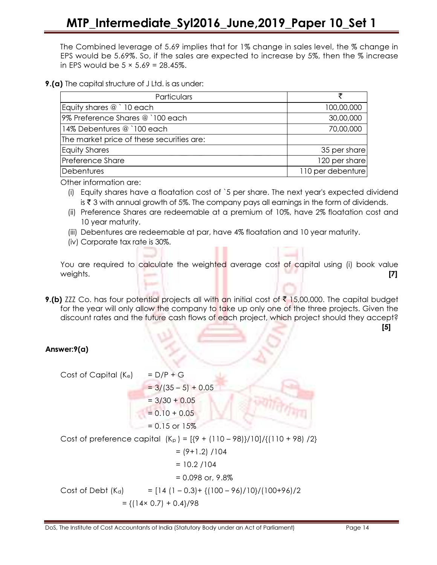The Combined leverage of 5.69 implies that for 1% change in sales level, the % change in EPS would be 5.69%. So, if the sales are expected to increase by 5%, then the % increase in EPS would be  $5 \times 5.69 = 28.45\%$ .

#### **9.(a)** The capital structure of J Ltd. is as under:

| Particulars                               |                   |
|-------------------------------------------|-------------------|
| Equity shares @ `10 each                  | 100,00,000        |
| 9% Preference Shares @`100 each           | 30,00,000         |
| 14% Debentures @ `100 each                | 70,00,000         |
| The market price of these securities are: |                   |
| <b>Equity Shares</b>                      | 35 per share      |
| <b>Preference Share</b>                   | 120 per share     |
| Debentures                                | 110 per debenture |

Other information are:

(i) Equity shares have a floatation cost of `5 per share. The next year's expected dividend is  $\bar{\tau}$  3 with annual growth of 5%. The company pays all earnings in the form of dividends.

- (ii) Preference Shares are redeemable at a premium of 10%, have 2% floatation cost and 10 year maturity.
- (iii) Debentures are redeemable at par, have 4% floatation and 10 year maturity.
- (iv) Corporate tax rate is 30%.

You are required to calculate the weighted average cost of capital using (i) book value weights.  $\begin{bmatrix} 7 \end{bmatrix}$ 

**9.(b)** ZZZ Co. has four potential projects all with an initial cost of  $\bar{\tau}$  15,00,000. The capital budget for the year will only allow the company to take up only one of the three projects. Given the discount rates and the future cash flows of each project, which project should they accept?

[5]

# Answer:9(a)

Cost of Capital  $(K_e)$  = D/P + G  $= 3/(35 - 5) + 0.05$  $= 3/30 + 0.05$  $= 0.10 + 0.05$  $= 0.15$  or  $15\%$ Cost of preference capital  $(K_p) = [{9 + (110 - 98)}/10]/{(110 + 98)}$  /2}  $= (9+1.2) / 104$  $= 10.2 / 104$  $= 0.098$  or, 9.8% Cost of Debt  $(K_d)$  =  $[14 (1 - 0.3) + {(100 - 96)/10}/(100 + 96)/2$  $= \{(14 \times 0.7) + 0.4\}/98$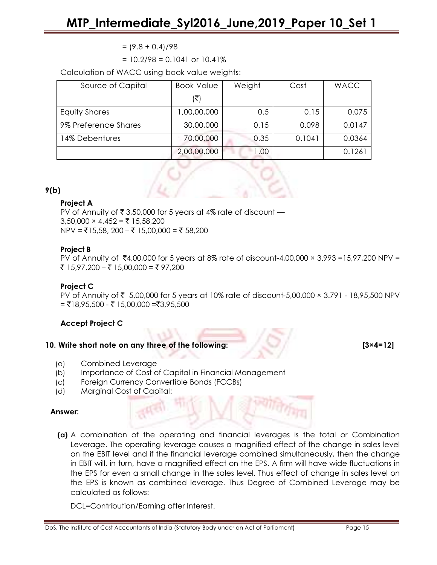$= (9.8 + 0.4)/98$ 

 $= 10.2/98 = 0.1041$  or  $10.41%$ 

Calculation of WACC using book value weights:

| Source of Capital    | <b>Book Value</b> | Weight | Cost   | <b>WACC</b> |
|----------------------|-------------------|--------|--------|-------------|
|                      | (₹)               |        |        |             |
| Equity Shares        | 1,00,00,000       | 0.5    | 0.15   | 0.075       |
| 9% Preference Shares | 30,00,000         | 0.15   | 0.098  | 0.0147      |
| 14% Debentures       | 70,00,000         | 0.35   | 0.1041 | 0.0364      |
|                      | 2,00,00,000       | I .OO  |        | 0.1261      |

#### 9(b)

#### Project A

PV of Annuity of  $\bar{\tau}$  3,50,000 for 5 years at 4% rate of discount —  $3,50,000 \times 4,452 = \overline{5} 15,58,200$  $NPV = ₹15,58, 200 - ₹15,00,000 = ₹58,200$ 

#### Project B

PV of Annuity of ₹4,00,000 for 5 years at 8% rate of discount-4,00,000  $\times$  3.993 =15,97,200 NPV = ₹ 15,97,200 – ₹ 15,00,000 = ₹ 97,200

#### Project C

PV of Annuity of ₹ 5,00,000 for 5 years at 10% rate of discount-5,00,000  $\times$  3.791 - 18,95,500 NPV  $= ₹18,95,500 - ₹15,00,000 = ₹3,95,500$ 

# Accept Project C

#### 10. Write short note on any three of the following: [3×4=12]

- (a) Combined Leverage
- (b) Importance of Cost of Capital in Financial Management
- (c) Foreign Currency Convertible Bonds (FCCBs)
- (d) Marginal Cost of Capital:

#### Answer:

(a) A combination of the operating and financial leverages is the total or Combination Leverage. The operating leverage causes a magnified effect of the change in sales level on the EBIT level and if the financial leverage combined simultaneously, then the change in EBIT will, in turn, have a magnified effect on the EPS. A firm will have wide fluctuations in the EPS for even a small change in the sales level. Thus effect of change in sales level on the EPS is known as combined leverage. Thus Degree of Combined Leverage may be calculated as follows:

DCL=Contribution/Earning after Interest.